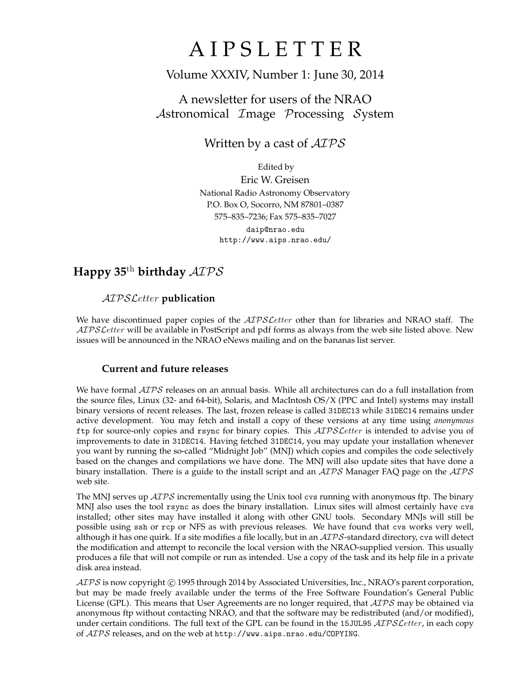# **AIPSLETTER**

## Volume XXXIV, Number 1: June 30, 2014

## A newsletter for users of the NRAO Astronomical Image Processing System

## Written by a cast of  $AIPS$

Edited by Eric W. Greisen National Radio Astronomy Observatory P.O. Box O, Socorro, NM 87801–0387 575–835–7236; Fax 575–835–7027 daip@nrao.edu http://www.aips.nrao.edu/

## **Happy 35**th **birthday** AIPS

### AIPSLetter **publication**

We have discontinued paper copies of the *AIPS Letter* other than for libraries and NRAO staff. The AIPS Letter will be available in PostScript and pdf forms as always from the web site listed above. New issues will be announced in the NRAO eNews mailing and on the bananas list server.

#### **Current and future releases**

We have formal  $\mathcal{AIPS}$  releases on an annual basis. While all architectures can do a full installation from the source files, Linux (32- and 64-bit), Solaris, and MacIntosh OS/X (PPC and Intel) systems may install binary versions of recent releases. The last, frozen release is called 31DEC13 while 31DEC14 remains under active development. You may fetch and install a copy of these versions at any time using *anonymous* ftp for source-only copies and rsync for binary copies. This  $ATPSLetter$  is intended to advise you of improvements to date in 31DEC14. Having fetched 31DEC14, you may update your installation whenever you want by running the so-called "Midnight Job" (MNJ) which copies and compiles the code selectively based on the changes and compilations we have done. The MNJ will also update sites that have done a binary installation. There is a guide to the install script and an  $AIPS$  Manager FAQ page on the  $AIPS$ web site.

The MNJ serves up  $AIPS$  incrementally using the Unix tool cvs running with anonymous ftp. The binary MNJ also uses the tool rsync as does the binary installation. Linux sites will almost certainly have cvs installed; other sites may have installed it along with other GNU tools. Secondary MNJs will still be possible using ssh or rcp or NFS as with previous releases. We have found that cvs works very well, although it has one quirk. If a site modifies a file locally, but in an  $\mathcal{AIPS}$ -standard directory, cvs will detect the modification and attempt to reconcile the local version with the NRAO-supplied version. This usually produces a file that will not compile or run as intended. Use a copy of the task and its help file in a private disk area instead.

 $ATPS$  is now copyright  $\odot$  1995 through 2014 by Associated Universities, Inc., NRAO's parent corporation, but may be made freely available under the terms of the Free Software Foundation's General Public License (GPL). This means that User Agreements are no longer required, that  $\mathcal{AIPS}$  may be obtained via anonymous ftp without contacting NRAO, and that the software may be redistributed (and/or modified), under certain conditions. The full text of the GPL can be found in the 15JUL95  $\mathcal{ATPSL}$ etter, in each copy of AIPS releases, and on the web at http://www.aips.nrao.edu/COPYING.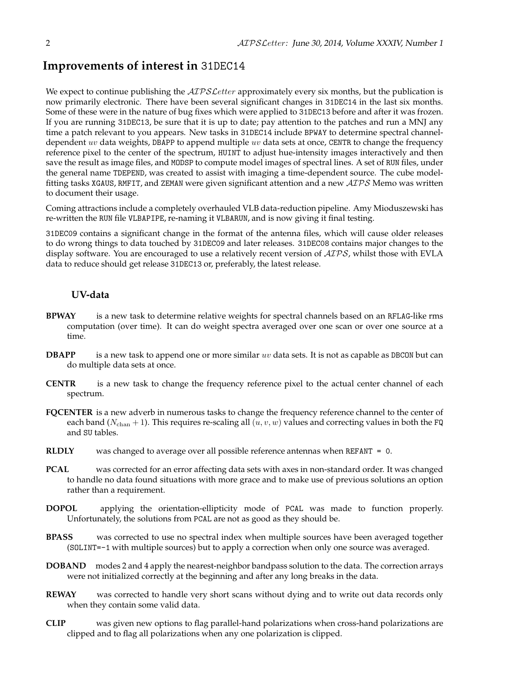## **Improvements of interest in** 31DEC14

We expect to continue publishing the  $ATPSLetter$  approximately every six months, but the publication is now primarily electronic. There have been several significant changes in 31DEC14 in the last six months. Some of these were in the nature of bug fixes which were applied to 31DEC13 before and after it was frozen. If you are running 31DEC13, be sure that it is up to date; pay attention to the patches and run a MNJ any time a patch relevant to you appears. New tasks in 31DEC14 include BPWAY to determine spectral channeldependent uv data weights, DBAPP to append multiple uv data sets at once, CENTR to change the frequency reference pixel to the center of the spectrum, HUINT to adjust hue-intensity images interactively and then save the result as image files, and MODSP to compute model images of spectral lines. A set of RUN files, under the general name TDEPEND, was created to assist with imaging a time-dependent source. The cube modelfitting tasks XGAUS, RMFIT, and ZEMAN were given significant attention and a new  $\mathcal{AIPS}$  Memo was written to document their usage.

Coming attractions include a completely overhauled VLB data-reduction pipeline. Amy Mioduszewski has re-written the RUN file VLBAPIPE, re-naming it VLBARUN, and is now giving it final testing.

31DEC09 contains a significant change in the format of the antenna files, which will cause older releases to do wrong things to data touched by 31DEC09 and later releases. 31DEC08 contains major changes to the display software. You are encouraged to use a relatively recent version of  $\mathcal{AIPS}$ , whilst those with EVLA data to reduce should get release 31DEC13 or, preferably, the latest release.

#### **UV-data**

- **BPWAY** is a new task to determine relative weights for spectral channels based on an RFLAG-like rms computation (over time). It can do weight spectra averaged over one scan or over one source at a time.
- **DBAPP** is a new task to append one or more similar uv data sets. It is not as capable as DBCON but can do multiple data sets at once.
- **CENTR** is a new task to change the frequency reference pixel to the actual center channel of each spectrum.
- **FQCENTER** is a new adverb in numerous tasks to change the frequency reference channel to the center of each band ( $N_{\text{chan}}$  + 1). This requires re-scaling all (u, v, w) values and correcting values in both the FQ and SU tables.
- **RLDLY** was changed to average over all possible reference antennas when REFANT = 0.
- **PCAL** was corrected for an error affecting data sets with axes in non-standard order. It was changed to handle no data found situations with more grace and to make use of previous solutions an option rather than a requirement.
- **DOPOL** applying the orientation-ellipticity mode of PCAL was made to function properly. Unfortunately, the solutions from PCAL are not as good as they should be.
- **BPASS** was corrected to use no spectral index when multiple sources have been averaged together (SOLINT=-1 with multiple sources) but to apply a correction when only one source was averaged.
- **DOBAND** modes 2 and 4 apply the nearest-neighbor bandpass solution to the data. The correction arrays were not initialized correctly at the beginning and after any long breaks in the data.
- **REWAY** was corrected to handle very short scans without dying and to write out data records only when they contain some valid data.
- **CLIP** was given new options to flag parallel-hand polarizations when cross-hand polarizations are clipped and to flag all polarizations when any one polarization is clipped.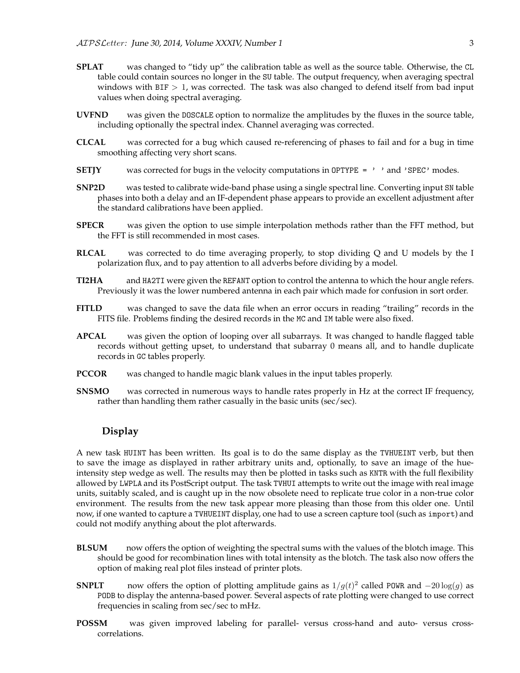- **SPLAT** was changed to "tidy up" the calibration table as well as the source table. Otherwise, the CL table could contain sources no longer in the SU table. The output frequency, when averaging spectral windows with  $BIF > 1$ , was corrected. The task was also changed to defend itself from bad input values when doing spectral averaging.
- **UVFND** was given the DOSCALE option to normalize the amplitudes by the fluxes in the source table, including optionally the spectral index. Channel averaging was corrected.
- **CLCAL** was corrected for a bug which caused re-referencing of phases to fail and for a bug in time smoothing affecting very short scans.
- **SETJY** was corrected for bugs in the velocity computations in OPTYPE = ' ' and 'SPEC' modes.
- **SNP2D** was tested to calibrate wide-band phase using a single spectral line. Converting input SN table phases into both a delay and an IF-dependent phase appears to provide an excellent adjustment after the standard calibrations have been applied.
- **SPECR** was given the option to use simple interpolation methods rather than the FFT method, but the FFT is still recommended in most cases.
- **RLCAL** was corrected to do time averaging properly, to stop dividing Q and U models by the I polarization flux, and to pay attention to all adverbs before dividing by a model.
- **TI2HA** and HA2TI were given the REFANT option to control the antenna to which the hour angle refers. Previously it was the lower numbered antenna in each pair which made for confusion in sort order.
- **FITLD** was changed to save the data file when an error occurs in reading "trailing" records in the FITS file. Problems finding the desired records in the MC and IM table were also fixed.
- **APCAL** was given the option of looping over all subarrays. It was changed to handle flagged table records without getting upset, to understand that subarray 0 means all, and to handle duplicate records in GC tables properly.
- **PCCOR** was changed to handle magic blank values in the input tables properly.
- **SNSMO** was corrected in numerous ways to handle rates properly in Hz at the correct IF frequency, rather than handling them rather casually in the basic units (sec/sec).

#### **Display**

A new task HUINT has been written. Its goal is to do the same display as the TVHUEINT verb, but then to save the image as displayed in rather arbitrary units and, optionally, to save an image of the hueintensity step wedge as well. The results may then be plotted in tasks such as KNTR with the full flexibility allowed by LWPLA and its PostScript output. The task TVHUI attempts to write out the image with real image units, suitably scaled, and is caught up in the now obsolete need to replicate true color in a non-true color environment. The results from the new task appear more pleasing than those from this older one. Until now, if one wanted to capture a TVHUEINT display, one had to use a screen capture tool (such as import) and could not modify anything about the plot afterwards.

- **BLSUM** now offers the option of weighting the spectral sums with the values of the blotch image. This should be good for recombination lines with total intensity as the blotch. The task also now offers the option of making real plot files instead of printer plots.
- **SNPLT** now offers the option of plotting amplitude gains as  $1/g(t)^2$  called POWR and  $-20 \log(g)$  as PODB to display the antenna-based power. Several aspects of rate plotting were changed to use correct frequencies in scaling from sec/sec to mHz.
- **POSSM** was given improved labeling for parallel- versus cross-hand and auto- versus crosscorrelations.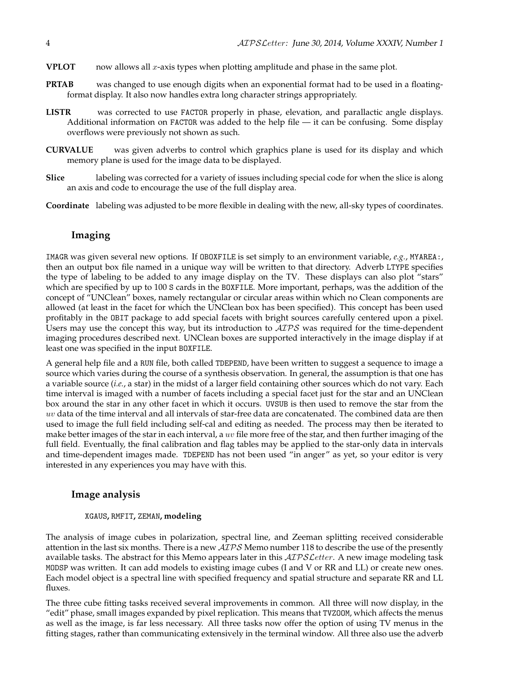- **VPLOT** now allows all x-axis types when plotting amplitude and phase in the same plot.
- **PRTAB** was changed to use enough digits when an exponential format had to be used in a floatingformat display. It also now handles extra long character strings appropriately.
- **LISTR** was corrected to use FACTOR properly in phase, elevation, and parallactic angle displays. Additional information on FACTOR was added to the help file — it can be confusing. Some display overflows were previously not shown as such.
- **CURVALUE** was given adverbs to control which graphics plane is used for its display and which memory plane is used for the image data to be displayed.
- **Slice** labeling was corrected for a variety of issues including special code for when the slice is along an axis and code to encourage the use of the full display area.
- **Coordinate** labeling was adjusted to be more flexible in dealing with the new, all-sky types of coordinates.

#### **Imaging**

IMAGR was given several new options. If OBOXFILE is set simply to an environment variable, *e.g.*, MYAREA:, then an output box file named in a unique way will be written to that directory. Adverb LTYPE specifies the type of labeling to be added to any image display on the TV. These displays can also plot "stars" which are specified by up to 100 S cards in the BOXFILE. More important, perhaps, was the addition of the concept of "UNClean" boxes, namely rectangular or circular areas within which no Clean components are allowed (at least in the facet for which the UNClean box has been specified). This concept has been used profitably in the OBIT package to add special facets with bright sources carefully centered upon a pixel. Users may use the concept this way, but its introduction to  $\mathcal{AIPS}$  was required for the time-dependent imaging procedures described next. UNClean boxes are supported interactively in the image display if at least one was specified in the input BOXFILE.

A general help file and a RUN file, both called TDEPEND, have been written to suggest a sequence to image a source which varies during the course of a synthesis observation. In general, the assumption is that one has a variable source (*i.e.*, a star) in the midst of a larger field containing other sources which do not vary. Each time interval is imaged with a number of facets including a special facet just for the star and an UNClean box around the star in any other facet in which it occurs. UVSUB is then used to remove the star from the uv data of the time interval and all intervals of star-free data are concatenated. The combined data are then used to image the full field including self-cal and editing as needed. The process may then be iterated to make better images of the star in each interval, a  $uv$  file more free of the star, and then further imaging of the full field. Eventually, the final calibration and flag tables may be applied to the star-only data in intervals and time-dependent images made. TDEPEND has not been used "in anger" as yet, so your editor is very interested in any experiences you may have with this.

#### **Image analysis**

#### XGAUS**,** RMFIT**,** ZEMAN**, modeling**

The analysis of image cubes in polarization, spectral line, and Zeeman splitting received considerable attention in the last six months. There is a new  $\mathcal{AIPS}$  Memo number 118 to describe the use of the presently available tasks. The abstract for this Memo appears later in this  $\mathcal{AIPSLetter}$ . A new image modeling task MODSP was written. It can add models to existing image cubes (I and V or RR and LL) or create new ones. Each model object is a spectral line with specified frequency and spatial structure and separate RR and LL fluxes.

The three cube fitting tasks received several improvements in common. All three will now display, in the "edit" phase, small images expanded by pixel replication. This means that TVZOOM, which affects the menus as well as the image, is far less necessary. All three tasks now offer the option of using TV menus in the fitting stages, rather than communicating extensively in the terminal window. All three also use the adverb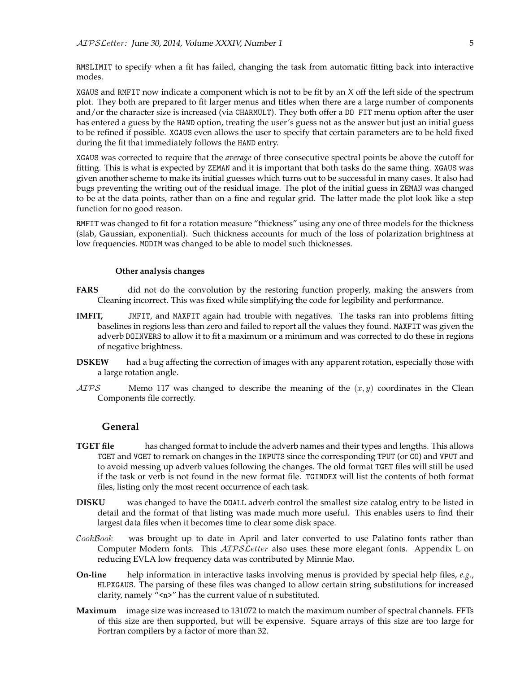RMSLIMIT to specify when a fit has failed, changing the task from automatic fitting back into interactive modes.

XGAUS and RMFIT now indicate a component which is not to be fit by an X off the left side of the spectrum plot. They both are prepared to fit larger menus and titles when there are a large number of components and/or the character size is increased (via CHARMULT). They both offer a DO FIT menu option after the user has entered a guess by the HAND option, treating the user's guess not as the answer but just an initial guess to be refined if possible. XGAUS even allows the user to specify that certain parameters are to be held fixed during the fit that immediately follows the HAND entry.

XGAUS was corrected to require that the *average* of three consecutive spectral points be above the cutoff for fitting. This is what is expected by ZEMAN and it is important that both tasks do the same thing. XGAUS was given another scheme to make its initial guesses which turns out to be successful in many cases. It also had bugs preventing the writing out of the residual image. The plot of the initial guess in ZEMAN was changed to be at the data points, rather than on a fine and regular grid. The latter made the plot look like a step function for no good reason.

RMFIT was changed to fit for a rotation measure "thickness" using any one of three models for the thickness (slab, Gaussian, exponential). Such thickness accounts for much of the loss of polarization brightness at low frequencies. MODIM was changed to be able to model such thicknesses.

#### **Other analysis changes**

- **FARS** did not do the convolution by the restoring function properly, making the answers from Cleaning incorrect. This was fixed while simplifying the code for legibility and performance.
- **IMFIT,** JMFIT, and MAXFIT again had trouble with negatives. The tasks ran into problems fitting baselines in regions less than zero and failed to report all the values they found. MAXFIT was given the adverb DOINVERS to allow it to fit a maximum or a minimum and was corrected to do these in regions of negative brightness.
- **DSKEW** had a bug affecting the correction of images with any apparent rotation, especially those with a large rotation angle.
- $ATPS$  Memo 117 was changed to describe the meaning of the  $(x, y)$  coordinates in the Clean Components file correctly.

#### **General**

- **TGET file** has changed format to include the adverb names and their types and lengths. This allows TGET and VGET to remark on changes in the INPUTS since the corresponding TPUT (or GO) and VPUT and to avoid messing up adverb values following the changes. The old format TGET files will still be used if the task or verb is not found in the new format file. TGINDEX will list the contents of both format files, listing only the most recent occurrence of each task.
- **DISKU** was changed to have the DOALL adverb control the smallest size catalog entry to be listed in detail and the format of that listing was made much more useful. This enables users to find their largest data files when it becomes time to clear some disk space.
- $\mathcal{C}ook$  was brought up to date in April and later converted to use Palatino fonts rather than Computer Modern fonts. This  $\mathcal{AIPSL}$ etter also uses these more elegant fonts. Appendix L on reducing EVLA low frequency data was contributed by Minnie Mao.
- **On-line** help information in interactive tasks involving menus is provided by special help files, *e.g.*, HLPXGAUS. The parsing of these files was changed to allow certain string substitutions for increased clarity, namely  $\frac{n}{2}$  has the current value of n substituted.
- **Maximum** image size was increased to 131072 to match the maximum number of spectral channels. FFTs of this size are then supported, but will be expensive. Square arrays of this size are too large for Fortran compilers by a factor of more than 32.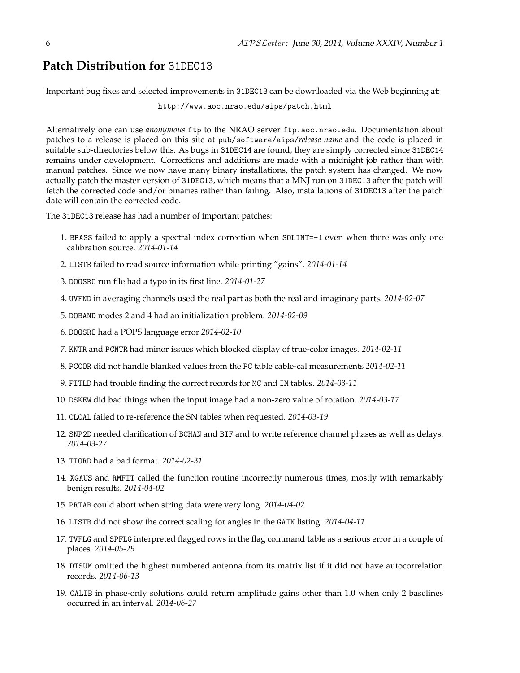## **Patch Distribution for** 31DEC13

Important bug fixes and selected improvements in 31DEC13 can be downloaded via the Web beginning at:

http://www.aoc.nrao.edu/aips/patch.html

Alternatively one can use *anonymous* ftp to the NRAO server ftp.aoc.nrao.edu. Documentation about patches to a release is placed on this site at pub/software/aips/*release-name* and the code is placed in suitable sub-directories below this. As bugs in 31DEC14 are found, they are simply corrected since 31DEC14 remains under development. Corrections and additions are made with a midnight job rather than with manual patches. Since we now have many binary installations, the patch system has changed. We now actually patch the master version of 31DEC13, which means that a MNJ run on 31DEC13 after the patch will fetch the corrected code and/or binaries rather than failing. Also, installations of 31DEC13 after the patch date will contain the corrected code.

The 31DEC13 release has had a number of important patches:

- 1. BPASS failed to apply a spectral index correction when SOLINT=-1 even when there was only one calibration source. *2014-01-14*
- 2. LISTR failed to read source information while printing "gains". *2014-01-14*
- 3. DOOSRO run file had a typo in its first line. *2014-01-27*
- 4. UVFND in averaging channels used the real part as both the real and imaginary parts. *2014-02-07*
- 5. DOBAND modes 2 and 4 had an initialization problem. *2014-02-09*
- 6. DOOSRO had a POPS language error *2014-02-10*
- 7. KNTR and PCNTR had minor issues which blocked display of true-color images. *2014-02-11*
- 8. PCCOR did not handle blanked values from the PC table cable-cal measurements *2014-02-11*
- 9. FITLD had trouble finding the correct records for MC and IM tables. *2014-03-11*
- 10. DSKEW did bad things when the input image had a non-zero value of rotation. *2014-03-17*
- 11. CLCAL failed to re-reference the SN tables when requested. *2014-03-19*
- 12. SNP2D needed clarification of BCHAN and BIF and to write reference channel phases as well as delays. *2014-03-27*
- 13. TIORD had a bad format. *2014-02-31*
- 14. XGAUS and RMFIT called the function routine incorrectly numerous times, mostly with remarkably benign results. *2014-04-02*
- 15. PRTAB could abort when string data were very long. *2014-04-02*
- 16. LISTR did not show the correct scaling for angles in the GAIN listing. *2014-04-11*
- 17. TVFLG and SPFLG interpreted flagged rows in the flag command table as a serious error in a couple of places. *2014-05-29*
- 18. DTSUM omitted the highest numbered antenna from its matrix list if it did not have autocorrelation records. *2014-06-13*
- 19. CALIB in phase-only solutions could return amplitude gains other than 1.0 when only 2 baselines occurred in an interval. *2014-06-27*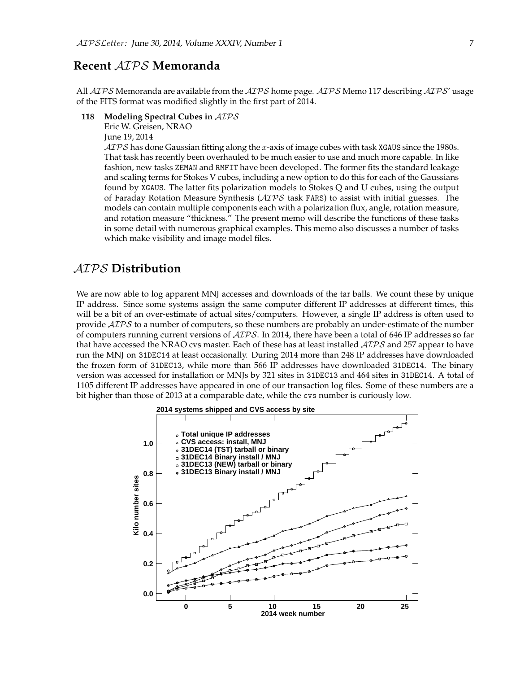### **Recent** AIPS **Memoranda**

All  $AIPS$  Memoranda are available from the  $AIPS$  home page.  $AIPS$  Memo 117 describing  $AIPS'$  usage of the FITS format was modified slightly in the first part of 2014.

#### **118 Modeling Spectral Cubes in** AIPS

Eric W. Greisen, NRAO

June 19, 2014

 $ATPS$  has done Gaussian fitting along the x-axis of image cubes with task XGAUS since the 1980s. That task has recently been overhauled to be much easier to use and much more capable. In like fashion, new tasks ZEMAN and RMFIT have been developed. The former fits the standard leakage and scaling terms for Stokes V cubes, including a new option to do this for each of the Gaussians found by XGAUS. The latter fits polarization models to Stokes Q and U cubes, using the output of Faraday Rotation Measure Synthesis (AIPS task FARS) to assist with initial guesses. The models can contain multiple components each with a polarization flux, angle, rotation measure, and rotation measure "thickness." The present memo will describe the functions of these tasks in some detail with numerous graphical examples. This memo also discusses a number of tasks which make visibility and image model files.

## AIPS **Distribution**

We are now able to log apparent MNJ accesses and downloads of the tar balls. We count these by unique IP address. Since some systems assign the same computer different IP addresses at different times, this will be a bit of an over-estimate of actual sites/computers. However, a single IP address is often used to provide  $\mathcal{AIPS}$  to a number of computers, so these numbers are probably an under-estimate of the number of computers running current versions of  $ATPS$ . In 2014, there have been a total of 646 IP addresses so far that have accessed the NRAO cvs master. Each of these has at least installed  $\mathcal{AIPS}$  and 257 appear to have run the MNJ on 31DEC14 at least occasionally. During 2014 more than 248 IP addresses have downloaded the frozen form of 31DEC13, while more than 566 IP addresses have downloaded 31DEC14. The binary version was accessed for installation or MNJs by 321 sites in 31DEC13 and 464 sites in 31DEC14. A total of 1105 different IP addresses have appeared in one of our transaction log files. Some of these numbers are a bit higher than those of 2013 at a comparable date, while the cvs number is curiously low.